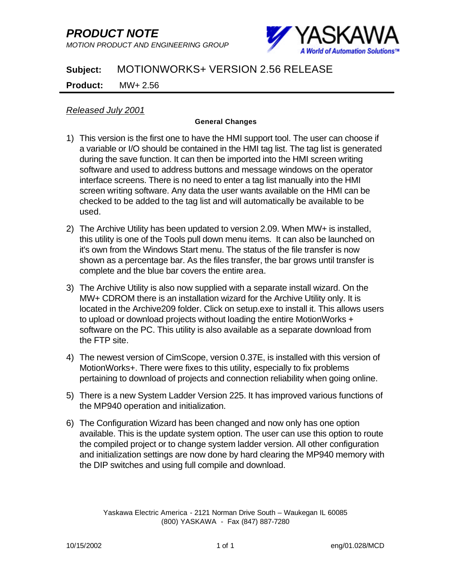## *PRODUCT NOTE*

*MOTION PRODUCT AND ENGINEERING GROUP*



## **Subject:** MOTIONWORKS+ VERSION 2.56 RELEASE

## **Product:** MW+ 2.56

*Released July 2001*

## **General Changes**

- 1) This version is the first one to have the HMI support tool. The user can choose if a variable or I/O should be contained in the HMI tag list. The tag list is generated during the save function. It can then be imported into the HMI screen writing software and used to address buttons and message windows on the operator interface screens. There is no need to enter a tag list manually into the HMI screen writing software. Any data the user wants available on the HMI can be checked to be added to the tag list and will automatically be available to be used.
- 2) The Archive Utility has been updated to version 2.09. When MW+ is installed, this utility is one of the Tools pull down menu items. It can also be launched on it's own from the Windows Start menu. The status of the file transfer is now shown as a percentage bar. As the files transfer, the bar grows until transfer is complete and the blue bar covers the entire area.
- 3) The Archive Utility is also now supplied with a separate install wizard. On the MW+ CDROM there is an installation wizard for the Archive Utility only. It is located in the Archive209 folder. Click on setup.exe to install it. This allows users to upload or download projects without loading the entire MotionWorks + software on the PC. This utility is also available as a separate download from the FTP site.
- 4) The newest version of CimScope, version 0.37E, is installed with this version of MotionWorks+. There were fixes to this utility, especially to fix problems pertaining to download of projects and connection reliability when going online.
- 5) There is a new System Ladder Version 225. It has improved various functions of the MP940 operation and initialization.
- 6) The Configuration Wizard has been changed and now only has one option available. This is the update system option. The user can use this option to route the compiled project or to change system ladder version. All other configuration and initialization settings are now done by hard clearing the MP940 memory with the DIP switches and using full compile and download.